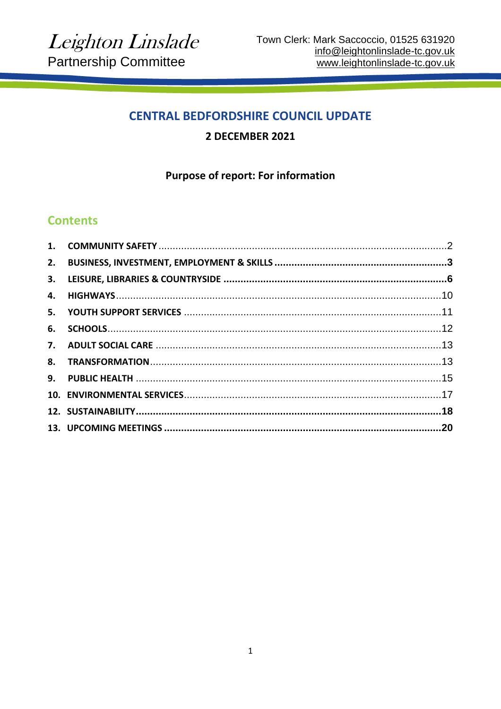# **CENTRAL BEDFORDSHIRE COUNCIL UPDATE**

### 2 DECEMBER 2021

### **Purpose of report: For information**

# **Contents**

| 6. |  |
|----|--|
|    |  |
|    |  |
|    |  |
|    |  |
|    |  |
|    |  |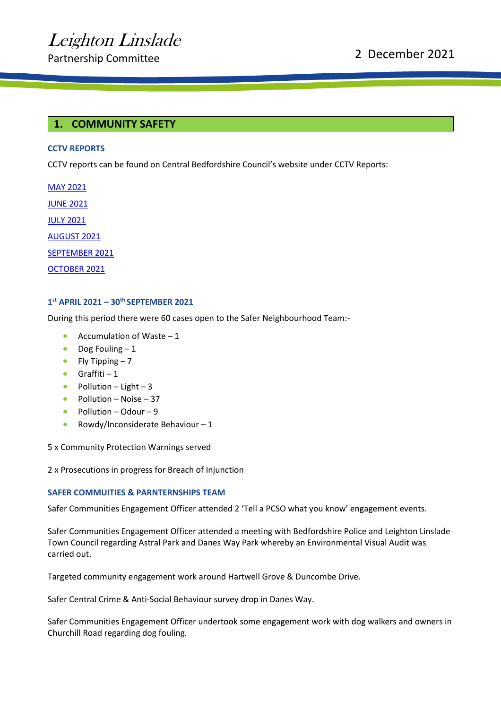#### <span id="page-1-0"></span>**1. COMMUNITY SAFETY**

#### **CCTV REPORTS**

CCTV reports can be found on Central Bedfordshire Council's website under CCTV Reports:

[MAY 2021](https://centralbedfordshire.app.box.com/s/qd727r4tw1k41mngypvifniujg4rvbbv/file/818994409495) [JUNE 2021](https://centralbedfordshire.app.box.com/s/qd727r4tw1k41mngypvifniujg4rvbbv/file/828819734085) [JULY 2021](https://centralbedfordshire.app.box.com/s/qd727r4tw1k41mngypvifniujg4rvbbv/file/842600057065) [AUGUST 2021](https://centralbedfordshire.app.box.com/s/qd727r4tw1k41mngypvifniujg4rvbbv/file/855363072710) [SEPTEMBER 2021](https://centralbedfordshire.app.box.com/s/qd727r4tw1k41mngypvifniujg4rvbbv/file/868370330294) [OCTOBER 2021](https://centralbedfordshire.app.box.com/s/qd727r4tw1k41mngypvifniujg4rvbbv/file/879872889668)

#### **1 st APRIL 2021 – 30th SEPTEMBER 2021**

During this period there were 60 cases open to the Safer Neighbourhood Team:-

- Accumulation of Waste  $-1$
- Dog Fouling  $-1$
- Fly Tipping  $-7$
- $\bullet$  Graffiti 1
- Pollution Light 3
- Pollution Noise 37
- Pollution Odour 9
- Rowdy/Inconsiderate Behaviour  $-1$

5 x Community Protection Warnings served

2 x Prosecutions in progress for Breach of Injunction

#### **SAFER COMMUITIES & PARNTERNSHIPS TEAM**

Safer Communities Engagement Officer attended 2 'Tell a PCSO what you know' engagement events.

Safer Communities Engagement Officer attended a meeting with Bedfordshire Police and Leighton Linslade Town Council regarding Astral Park and Danes Way Park whereby an Environmental Visual Audit was carried out.

Targeted community engagement work around Hartwell Grove & Duncombe Drive.

Safer Central Crime & Anti-Social Behaviour survey drop in Danes Way.

Safer Communities Engagement Officer undertook some engagement work with dog walkers and owners in Churchill Road regarding dog fouling.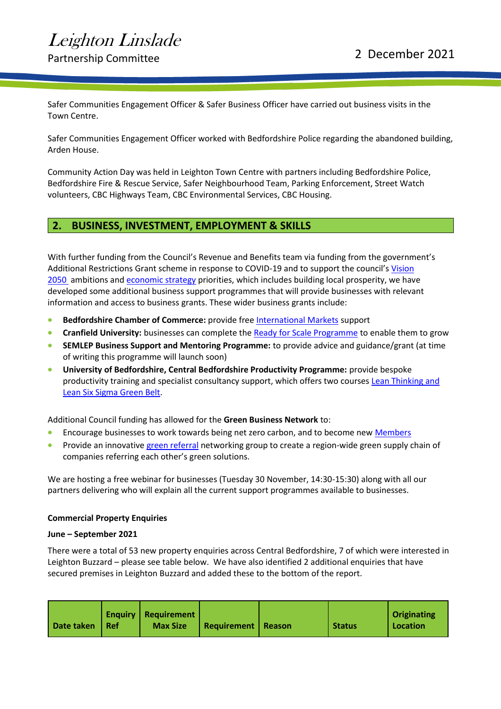# Partnership Committee 2021

Safer Communities Engagement Officer & Safer Business Officer have carried out business visits in the Town Centre.

Safer Communities Engagement Officer worked with Bedfordshire Police regarding the abandoned building, Arden House.

Community Action Day was held in Leighton Town Centre with partners including Bedfordshire Police, Bedfordshire Fire & Rescue Service, Safer Neighbourhood Team, Parking Enforcement, Street Watch volunteers, CBC Highways Team, CBC Environmental Services, CBC Housing.

### <span id="page-2-0"></span>**2. BUSINESS, INVESTMENT, EMPLOYMENT & SKILLS**

With further funding from the Council's Revenue and Benefits team via funding from the government's Additional Restrictions Grant scheme in response to COVID-19 and to support the council's [Vision](https://protect-eu.mimecast.com/s/v0EdCmyQlT1wLwDSGnQPT?domain=track.vuelio.uk.com)  [2050](https://protect-eu.mimecast.com/s/v0EdCmyQlT1wLwDSGnQPT?domain=track.vuelio.uk.com) ambitions and [economic strategy](https://protect-eu.mimecast.com/s/jBK6CnOrnsl0p0juJNo0F?domain=track.vuelio.uk.com) priorities, which includes building local prosperity, we have developed some additional business support programmes that will provide businesses with relevant information and access to business grants. These wider business grants include:

- **Bedfordshire Chamber of Commerce:** provide free [International Markets](https://www.chamber-business.com/goglobalcbc) support
- **Cranfield University:** businesses can complete th[e Ready for Scale Programme](https://www.cranfield.ac.uk/som/press/leading-business-school-and-council-unite-to-boost-central-bedfordshires-businesses) to enable them to grow
- **SEMLEP Business Support and Mentoring Programme:** to provide advice and guidance/grant (at time of writing this programme will launch soon)
- **University of Bedfordshire, Central Bedfordshire Productivity Programme:** provide bespoke productivity training and specialist consultancy support, which offers two courses Lean Thinking and [Lean Six Sigma Green Belt.](https://www.beds.ac.uk/centralbeds-productivity)

Additional Council funding has allowed for the **Green Business Network** to:

- Encourage businesses to work towards being net zero carbon, and to become new [Members](https://greenbusinessnetwork.co.uk/#benefits)
- Provide an innovative [green referral](https://greenbusinessnetwork.co.uk/green-connectors/) networking group to create a region-wide green supply chain of companies referring each other's green solutions.

We are hosting a free webinar for businesses (Tuesday 30 November, 14:30-15:30) along with all our partners delivering who will explain all the current support programmes available to businesses.

#### **Commercial Property Enquiries**

#### **June – September 2021**

There were a total of 53 new property enquiries across Central Bedfordshire, 7 of which were interested in Leighton Buzzard – please see table below. We have also identified 2 additional enquiries that have secured premises in Leighton Buzzard and added these to the bottom of the report.

| Date taken   Ref | <b>Enquiry   Requirement  </b><br><b>Max Size</b> | <b>Requirement   Reason</b> |  | <b>Status</b> | <b>Originating</b><br>Location |
|------------------|---------------------------------------------------|-----------------------------|--|---------------|--------------------------------|
|------------------|---------------------------------------------------|-----------------------------|--|---------------|--------------------------------|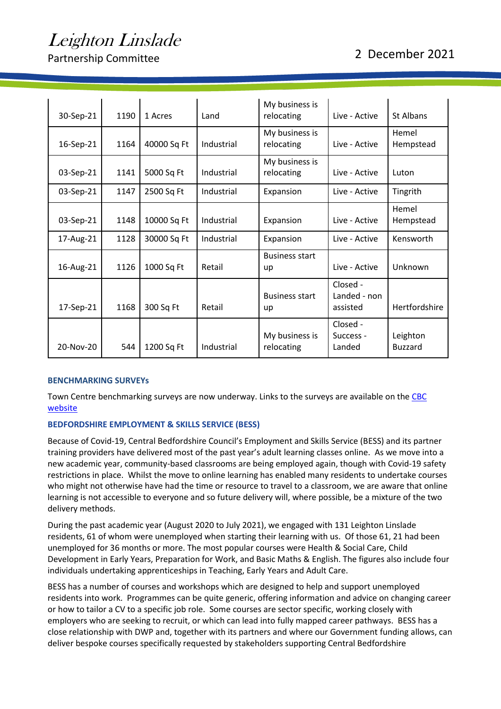Partnership Committee 2021

| 30-Sep-21 | 1190 | 1 Acres     | Land       | My business is<br>relocating | Live - Active                        | St Albans                  |
|-----------|------|-------------|------------|------------------------------|--------------------------------------|----------------------------|
| 16-Sep-21 | 1164 | 40000 Sq Ft | Industrial | My business is<br>relocating | Live - Active                        | Hemel<br>Hempstead         |
| 03-Sep-21 | 1141 | 5000 Sq Ft  | Industrial | My business is<br>relocating | Live - Active                        | Luton                      |
| 03-Sep-21 | 1147 | 2500 Sq Ft  | Industrial | Expansion                    | Live - Active                        | Tingrith                   |
| 03-Sep-21 | 1148 | 10000 Sq Ft | Industrial | Expansion                    | Live - Active                        | Hemel<br>Hempstead         |
| 17-Aug-21 | 1128 | 30000 Sq Ft | Industrial | Expansion                    | Live - Active                        | Kensworth                  |
| 16-Aug-21 | 1126 | 1000 Sq Ft  | Retail     | <b>Business start</b><br>up  | Live - Active                        | Unknown                    |
| 17-Sep-21 | 1168 | 300 Sq Ft   | Retail     | <b>Business start</b><br>up  | Closed -<br>Landed - non<br>assisted | Hertfordshire              |
| 20-Nov-20 | 544  | 1200 Sq Ft  | Industrial | My business is<br>relocating | Closed -<br>Success -<br>Landed      | Leighton<br><b>Buzzard</b> |

#### **BENCHMARKING SURVEYs**

Town Centre benchmarking surveys are now underway. Links to the surveys are available on the [CBC](https://www.centralbedfordshire.gov.uk/info/27/about_your_council/188/consultations)  [website](https://www.centralbedfordshire.gov.uk/info/27/about_your_council/188/consultations)

#### **BEDFORDSHIRE EMPLOYMENT & SKILLS SERVICE (BESS)**

Because of Covid-19, Central Bedfordshire Council's Employment and Skills Service (BESS) and its partner training providers have delivered most of the past year's adult learning classes online. As we move into a new academic year, community-based classrooms are being employed again, though with Covid-19 safety restrictions in place. Whilst the move to online learning has enabled many residents to undertake courses who might not otherwise have had the time or resource to travel to a classroom, we are aware that online learning is not accessible to everyone and so future delivery will, where possible, be a mixture of the two delivery methods.

During the past academic year (August 2020 to July 2021), we engaged with 131 Leighton Linslade residents, 61 of whom were unemployed when starting their learning with us. Of those 61, 21 had been unemployed for 36 months or more. The most popular courses were Health & Social Care, Child Development in Early Years, Preparation for Work, and Basic Maths & English. The figures also include four individuals undertaking apprenticeships in Teaching, Early Years and Adult Care.

BESS has a number of courses and workshops which are designed to help and support unemployed residents into work. Programmes can be quite generic, offering information and advice on changing career or how to tailor a CV to a specific job role. Some courses are sector specific, working closely with employers who are seeking to recruit, or which can lead into fully mapped career pathways. BESS has a close relationship with DWP and, together with its partners and where our Government funding allows, can deliver bespoke courses specifically requested by stakeholders supporting Central Bedfordshire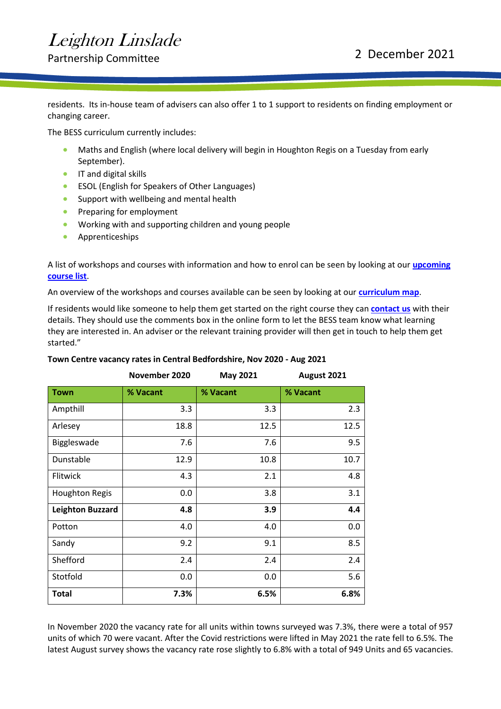Partnership Committee 2021

residents. Its in-house team of advisers can also offer 1 to 1 support to residents on finding employment or changing career.

The BESS curriculum currently includes:

- Maths and English (where local delivery will begin in Houghton Regis on a Tuesday from early September).
- **•** IT and digital skills
- ESOL (English for Speakers of Other Languages)
- Support with wellbeing and mental health
- Preparing for employment
- Working with and supporting children and young people
- Apprenticeships

A list of workshops and courses with information and how to enrol can be seen by looking at our **[upcoming](https://protect-eu.mimecast.com/s/djx8CX5omcXwQvKIoX_G7?domain=lnks.gd)  [course list](https://protect-eu.mimecast.com/s/djx8CX5omcXwQvKIoX_G7?domain=lnks.gd)**.

An overview of the workshops and courses available can be seen by looking at our **[curriculum map](https://protect-eu.mimecast.com/s/V9aICY5vocLr7RlT6-eWa?domain=lnks.gd)**.

If residents would like someone to help them get started on the right course they can **[contact us](https://protect-eu.mimecast.com/s/LnLRCZ0Vqt5J6Zgc6LonZ?domain=lnks.gd)** with their details. They should use the comments box in the online form to let the BESS team know what learning they are interested in. An adviser or the relevant training provider will then get in touch to help them get started."

|                         | November 2020 | <b>May 2021</b> | August 2021 |
|-------------------------|---------------|-----------------|-------------|
| <b>Town</b>             | % Vacant      | % Vacant        | % Vacant    |
| Ampthill                | 3.3           | 3.3             | 2.3         |
| Arlesey                 | 18.8          | 12.5            | 12.5        |
| Biggleswade             | 7.6           | 7.6             | 9.5         |
| Dunstable               | 12.9          | 10.8            | 10.7        |
| Flitwick                | 4.3           | 2.1             | 4.8         |
| <b>Houghton Regis</b>   | 0.0           | 3.8             | 3.1         |
| <b>Leighton Buzzard</b> | 4.8           | 3.9             | 4.4         |
| Potton                  | 4.0           | 4.0             | 0.0         |
| Sandy                   | 9.2           | 9.1             | 8.5         |
| Shefford                | 2.4           | 2.4             | 2.4         |
| Stotfold                | 0.0           | 0.0             | 5.6         |
| <b>Total</b>            | 7.3%          | 6.5%            | 6.8%        |

#### **Town Centre vacancy rates in Central Bedfordshire, Nov 2020 - Aug 2021**

In November 2020 the vacancy rate for all units within towns surveyed was 7.3%, there were a total of 957 units of which 70 were vacant. After the Covid restrictions were lifted in May 2021 the rate fell to 6.5%. The latest August survey shows the vacancy rate rose slightly to 6.8% with a total of 949 Units and 65 vacancies.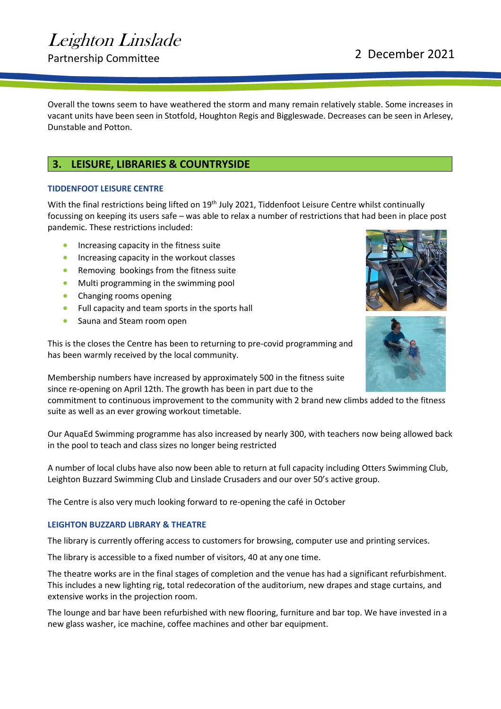Overall the towns seem to have weathered the storm and many remain relatively stable. Some increases in vacant units have been seen in Stotfold, Houghton Regis and Biggleswade. Decreases can be seen in Arlesey, Dunstable and Potton.

### <span id="page-5-0"></span>**3. LEISURE, LIBRARIES & COUNTRYSIDE**

#### **TIDDENFOOT LEISURE CENTRE**

With the final restrictions being lifted on 19<sup>th</sup> July 2021, Tiddenfoot Leisure Centre whilst continually focussing on keeping its users safe – was able to relax a number of restrictions that had been in place post pandemic. These restrictions included:

- Increasing capacity in the fitness suite
- Increasing capacity in the workout classes
- Removing bookings from the fitness suite
- Multi programming in the swimming pool
- Changing rooms opening
- Full capacity and team sports in the sports hall
- Sauna and Steam room open

This is the closes the Centre has been to returning to pre-covid programming and has been warmly received by the local community.



Membership numbers have increased by approximately 500 in the fitness suite since re-opening on April 12th. The growth has been in part due to the

commitment to continuous improvement to the community with 2 brand new climbs added to the fitness suite as well as an ever growing workout timetable.

Our AquaEd Swimming programme has also increased by nearly 300, with teachers now being allowed back in the pool to teach and class sizes no longer being restricted

A number of local clubs have also now been able to return at full capacity including Otters Swimming Club, Leighton Buzzard Swimming Club and Linslade Crusaders and our over 50's active group.

The Centre is also very much looking forward to re-opening the café in October

#### **LEIGHTON BUZZARD LIBRARY & THEATRE**

The library is currently offering access to customers for browsing, computer use and printing services.

The library is accessible to a fixed number of visitors, 40 at any one time.

The theatre works are in the final stages of completion and the venue has had a significant refurbishment. This includes a new lighting rig, total redecoration of the auditorium, new drapes and stage curtains, and extensive works in the projection room.

The lounge and bar have been refurbished with new flooring, furniture and bar top. We have invested in a new glass washer, ice machine, coffee machines and other bar equipment.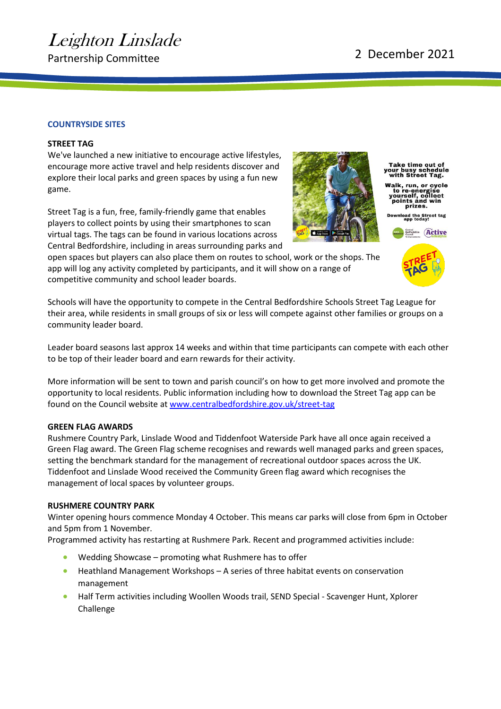#### **COUNTRYSIDE SITES**

#### **STREET TAG**

We've launched a new initiative to encourage active lifestyles, encourage more active travel and help residents discover and explore their local parks and green spaces by using a fun new game.

Street Tag is a fun, free, family-friendly game that enables players to collect points by using their smartphones to scan virtual tags. The tags can be found in various locations across Central Bedfordshire, including in areas surrounding parks and

open spaces but players can also place them on routes to school, work or the shops. The app will log any activity completed by participants, and it will show on a range of competitive community and school leader boards.

Schools will have the opportunity to compete in the Central Bedfordshire Schools Street Tag League for their area, while residents in small groups of six or less will compete against other families or groups on a community leader board.

Leader board seasons last approx 14 weeks and within that time participants can compete with each other to be top of their leader board and earn rewards for their activity.

More information will be sent to town and parish council's on how to get more involved and promote the opportunity to local residents. Public information including how to download the Street Tag app can be found on the Council website a[t www.centralbedfordshire.gov.uk/street-tag](http://www.centralbedfordshire.gov.uk/street-tag)

#### **GREEN FLAG AWARDS**

Rushmere Country Park, Linslade Wood and Tiddenfoot Waterside Park have all once again received a Green Flag award. The Green Flag scheme recognises and rewards well managed parks and green spaces, setting the benchmark standard for the management of recreational outdoor spaces across the UK. Tiddenfoot and Linslade Wood received the Community Green flag award which recognises the management of local spaces by volunteer groups.

#### **RUSHMERE COUNTRY PARK**

Winter opening hours commence Monday 4 October. This means car parks will close from 6pm in October and 5pm from 1 November.

Programmed activity has restarting at Rushmere Park. Recent and programmed activities include:

- Wedding Showcase promoting what Rushmere has to offer
- Heathland Management Workshops A series of three habitat events on conservation management
- Half Term activities including Woollen Woods trail, SEND Special Scavenger Hunt, Xplorer Challenge



Take time out of<br>our busy schedule<br>with Street Tag.

Walk, run, or cycle<br>to re-energise<br>yourself, collect<br>points and win<br>prizes.

load the Street tag<br>app today!

 $E<sub>left</sub>$ 



# Leighton Linslade

Partnership Committee 2021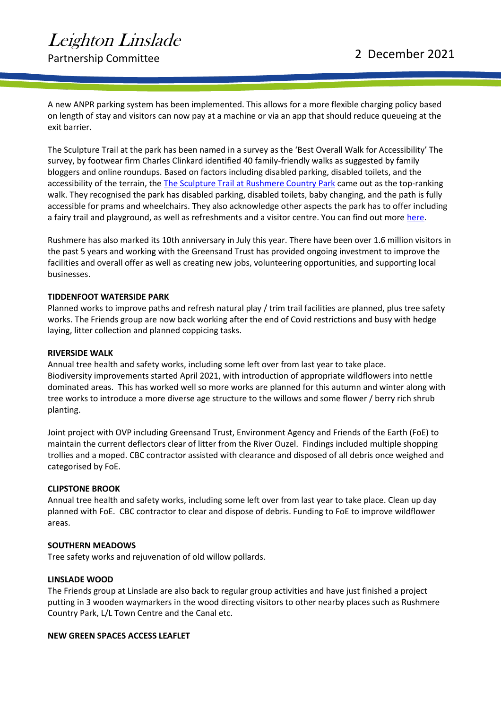A new ANPR parking system has been implemented. This allows for a more flexible charging policy based on length of stay and visitors can now pay at a machine or via an app that should reduce queueing at the exit barrier.

The Sculpture Trail at the park has been named in a survey as the 'Best Overall Walk for Accessibility' The survey, by footwear firm Charles Clinkard identified 40 family-friendly walks as suggested by family bloggers and online roundups. Based on factors including disabled parking, disabled toilets, and the accessibility of the terrain, the [The Sculpture Trail at Rushmere Country Park](https://www.greensandtrust.org/sculpture-trail) came out as the top-ranking walk. They recognised the park has disabled parking, disabled toilets, baby changing, and the path is fully accessible for prams and wheelchairs. They also acknowledge other aspects the park has to offer including a fairy trail and playground, as well as refreshments and a visitor centre. You can find out more [here.](https://www.charlesclinkard.co.uk/blog/2021/07/40-family-friendly-great-british-walks-to-entertain-the-kids-this-summer/?utm_source=VisualsoftAffiliates&utm_medium=affiliate&utm_campaign=skimlinks_phg)

Rushmere has also marked its 10th anniversary in July this year. There have been over 1.6 million visitors in the past 5 years and working with the Greensand Trust has provided ongoing investment to improve the facilities and overall offer as well as creating new jobs, volunteering opportunities, and supporting local businesses.

#### **TIDDENFOOT WATERSIDE PARK**

Planned works to improve paths and refresh natural play / trim trail facilities are planned, plus tree safety works. The Friends group are now back working after the end of Covid restrictions and busy with hedge laying, litter collection and planned coppicing tasks.

#### **RIVERSIDE WALK**

Annual tree health and safety works, including some left over from last year to take place. Biodiversity improvements started April 2021, with introduction of appropriate wildflowers into nettle dominated areas. This has worked well so more works are planned for this autumn and winter along with tree works to introduce a more diverse age structure to the willows and some flower / berry rich shrub planting.

Joint project with OVP including Greensand Trust, Environment Agency and Friends of the Earth (FoE) to maintain the current deflectors clear of litter from the River Ouzel. Findings included multiple shopping trollies and a moped. CBC contractor assisted with clearance and disposed of all debris once weighed and categorised by FoE.

#### **CLIPSTONE BROOK**

Annual tree health and safety works, including some left over from last year to take place. Clean up day planned with FoE. CBC contractor to clear and dispose of debris. Funding to FoE to improve wildflower areas.

#### **SOUTHERN MEADOWS**

Tree safety works and rejuvenation of old willow pollards.

#### **LINSLADE WOOD**

The Friends group at Linslade are also back to regular group activities and have just finished a project putting in 3 wooden waymarkers in the wood directing visitors to other nearby places such as Rushmere Country Park, L/L Town Centre and the Canal etc.

#### **NEW GREEN SPACES ACCESS LEAFLET**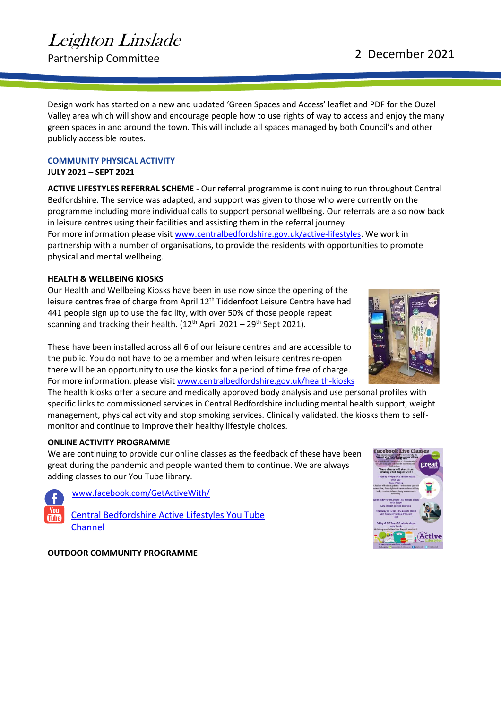Partnership Committee 2021

Design work has started on a new and updated 'Green Spaces and Access' leaflet and PDF for the Ouzel Valley area which will show and encourage people how to use rights of way to access and enjoy the many green spaces in and around the town. This will include all spaces managed by both Council's and other publicly accessible routes.

### **COMMUNITY PHYSICAL ACTIVITY**

**JULY 2021 – SEPT 2021** 

**ACTIVE LIFESTYLES REFERRAL SCHEME** - Our referral programme is continuing to run throughout Central Bedfordshire. The service was adapted, and support was given to those who were currently on the programme including more individual calls to support personal wellbeing. Our referrals are also now back in leisure centres using their facilities and assisting them in the referral journey.

For more information please visi[t www.centralbedfordshire.gov.uk/active-lifestyles.](http://www.centralbedfordshire.gov.uk/active-lifestyles) We work in partnership with a number of organisations, to provide the residents with opportunities to promote physical and mental wellbeing.

### **HEALTH & WELLBEING KIOSKS**

Our Health and Wellbeing Kiosks have been in use now since the opening of the leisure centres free of charge from April 12<sup>th</sup> Tiddenfoot Leisure Centre have had 441 people sign up to use the facility, with over 50% of those people repeat scanning and tracking their health. (12<sup>th</sup> April 2021 – 29<sup>th</sup> Sept 2021).

These have been installed across all 6 of our leisure centres and are accessible to the public. You do not have to be a member and when leisure centres re-open there will be an opportunity to use the kiosks for a period of time free of charge. For more information, please visit [www.centralbedfordshire.gov.uk/health-kiosks](http://www.centralbedfordshire.gov.uk/health-kiosks)

The health kiosks offer a secure and medically approved body analysis and use personal profiles with specific links to commissioned services in Central Bedfordshire including mental health support, weight management, physical activity and stop smoking services. Clinically validated, the kiosks them to selfmonitor and continue to improve their healthy lifestyle choices.

### **ONLINE ACTIVITY PROGRAMME**

We are continuing to provide our online classes as the feedback of these have been great during the pandemic and people wanted them to continue. We are always adding classes to our You Tube library.



[www.facebook.com/GetActiveWith/](http://www.facebook.com/GetActiveWith/) [Central Bedfordshire Active Lifestyles You Tube](https://www.youtube.com/channel/UCf-vdtHsSIZeMGu4mWOUp2g/videos) 

[Channel](https://www.youtube.com/channel/UCf-vdtHsSIZeMGu4mWOUp2g/videos)

**OUTDOOR COMMUNITY PROGRAMME** 



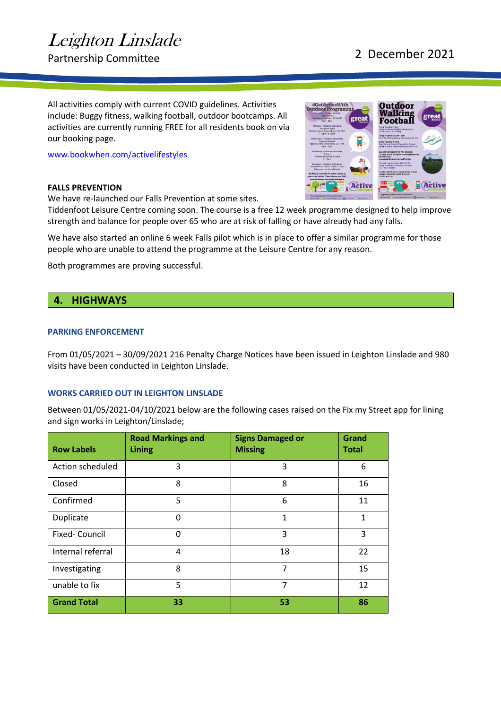Partnership Committee 2021

**Outdoor** 

All activities comply with current COVID guidelines. Activities include: Buggy fitness, walking football, outdoor bootcamps. All activities are currently running FREE for all residents book on via our booking page.

[www.bookwhen.com/activelifestyles](http://www.bookwhen.com/activelifestyles)

#### **FALLS PREVENTION**

We have re-launched our Falls Prevention at some sites.



#GetActiveWith<br>Outdoor Programn

Tiddenfoot Leisure Centre coming soon. The course is a free 12 week programme designed to help improve strength and balance for people over 65 who are at risk of falling or have already had any falls.

We have also started an online 6 week Falls pilot which is in place to offer a similar programme for those people who are unable to attend the programme at the Leisure Centre for any reason.

Both programmes are proving successful.

### <span id="page-9-0"></span>**4. HIGHWAYS**

#### **PARKING ENFORCEMENT**

From 01/05/2021 – 30/09/2021 216 Penalty Charge Notices have been issued in Leighton Linslade and 980 visits have been conducted in Leighton Linslade.

#### **WORKS CARRIED OUT IN LEIGHTON LINSLADE**

Between 01/05/2021-04/10/2021 below are the following cases raised on the Fix my Street app for lining and sign works in Leighton/Linslade;

| <b>Row Labels</b>    | <b>Road Markings and</b><br><b>Lining</b> | <b>Signs Damaged or</b><br><b>Missing</b> | Grand<br><b>Total</b> |
|----------------------|-------------------------------------------|-------------------------------------------|-----------------------|
| Action scheduled     | 3                                         | 3                                         | 6                     |
| Closed               | 8                                         | 8                                         | 16                    |
| Confirmed            | 5                                         | 6                                         | 11                    |
| Duplicate            | 0                                         | 1                                         | 1                     |
| <b>Fixed-Council</b> | $\Omega$                                  | 3                                         | 3                     |
| Internal referral    | 4                                         | 18                                        | 22                    |
| Investigating        | 8                                         | 7                                         | 15                    |
| unable to fix        | 5                                         | 7                                         | 12                    |
| <b>Grand Total</b>   | 33                                        | 53                                        | 86                    |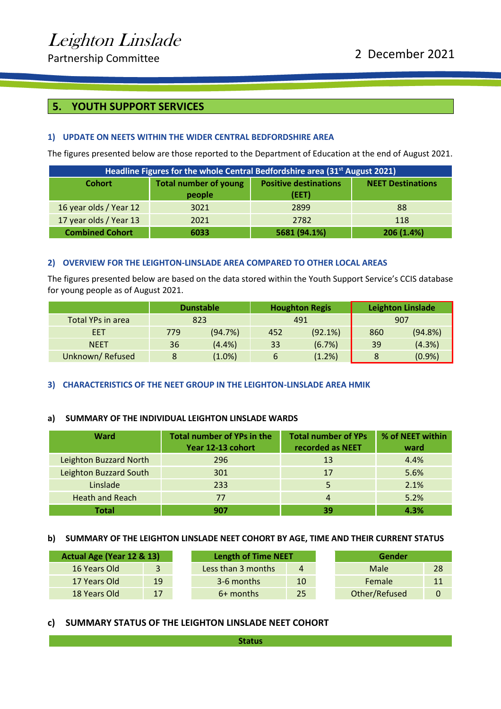## <span id="page-10-0"></span>**5. YOUTH SUPPORT SERVICES**

#### **1) UPDATE ON NEETS WITHIN THE WIDER CENTRAL BEDFORDSHIRE AREA**

The figures presented below are those reported to the Department of Education at the end of August 2021.

| Headline Figures for the whole Central Bedfordshire area (31 <sup>st</sup> August 2021) |                                                                                          |              |            |  |  |  |
|-----------------------------------------------------------------------------------------|------------------------------------------------------------------------------------------|--------------|------------|--|--|--|
| <b>Cohort</b>                                                                           | <b>Positive destinations</b><br><b>Total number of young</b><br><b>NEET Destinations</b> |              |            |  |  |  |
|                                                                                         | people                                                                                   | (EET)        |            |  |  |  |
| 16 year olds / Year 12                                                                  | 3021                                                                                     | 2899         | 88         |  |  |  |
| 17 year olds / Year 13                                                                  | 2021                                                                                     | 2782         | 118        |  |  |  |
| <b>Combined Cohort</b>                                                                  | 6033                                                                                     | 5681 (94.1%) | 206 (1.4%) |  |  |  |

#### **2) OVERVIEW FOR THE LEIGHTON-LINSLADE AREA COMPARED TO OTHER LOCAL AREAS**

The figures presented below are based on the data stored within the Youth Support Service's CCIS database for young people as of August 2021.

|                   |     | <b>Dunstable</b> | <b>Houghton Regis</b> |         | <b>Leighton Linslade</b> |         |  |
|-------------------|-----|------------------|-----------------------|---------|--------------------------|---------|--|
| Total YPs in area |     | 823              |                       | 491     |                          | 907     |  |
| EET               | 779 | (94.7%)          | 452                   | (92.1%) | 860                      | (94.8%) |  |
| <b>NEET</b>       | 36  | $(4.4\%)$        | 33                    | (6.7%)  | 39                       | (4.3%)  |  |
| Unknown/Refused   |     | $(1.0\%)$        | 6                     | (1.2%)  | 8                        | (0.9%   |  |

#### **3) CHARACTERISTICS OF THE NEET GROUP IN THE LEIGHTON-LINSLADE AREA HMIK**

#### **a) SUMMARY OF THE INDIVIDUAL LEIGHTON LINSLADE WARDS**

| Ward                   | <b>Total number of YPs in the</b><br>Year 12-13 cohort | <b>Total number of YPs</b><br>recorded as NEET | % of NEET within<br>ward |
|------------------------|--------------------------------------------------------|------------------------------------------------|--------------------------|
| Leighton Buzzard North | 296                                                    | 13                                             | 4.4%                     |
| Leighton Buzzard South | 301                                                    | 17                                             | 5.6%                     |
| Linslade               | 233                                                    | 5                                              | 2.1%                     |
| <b>Heath and Reach</b> | 77                                                     | 4                                              | 5.2%                     |
| Total                  | 907                                                    | 39                                             | 4.3%                     |

#### **b) SUMMARY OF THE LEIGHTON LINSLADE NEET COHORT BY AGE, TIME AND THEIR CURRENT STATUS**

| Actual Age (Year 12 & 13) |                | <b>Length of Time NEET</b> |    | Gender        |    |
|---------------------------|----------------|----------------------------|----|---------------|----|
| 16 Years Old              | $\overline{3}$ | Less than 3 months         | 4  | Male          | 28 |
| 17 Years Old              | 19             | 3-6 months                 | 10 | Female        | 11 |
| 18 Years Old              | 17             | 6+ months                  | 25 | Other/Refused | 0  |

#### **c) SUMMARY STATUS OF THE LEIGHTON LINSLADE NEET COHORT**

**Status**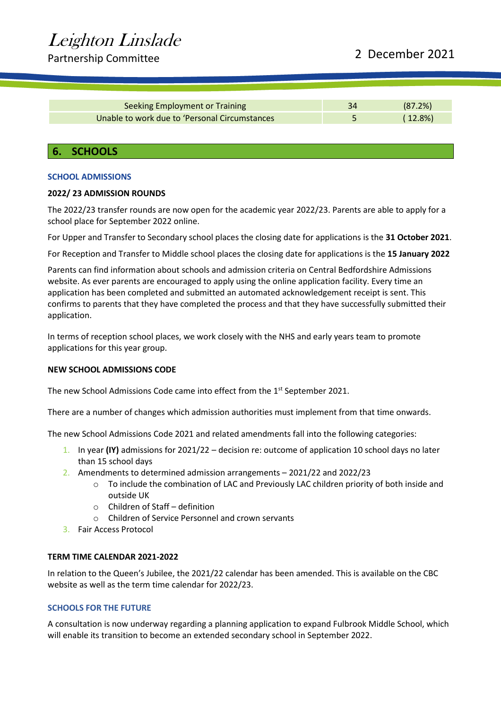# Partnership Committee 2021

| Seeking Employment or Training                 | 34 | (87.2%)    |
|------------------------------------------------|----|------------|
| Unable to work due to 'Personal Circumstances' |    | $(12.8\%)$ |

#### <span id="page-11-0"></span>**6. SCHOOLS**

#### **SCHOOL ADMISSIONS**

#### **2022/ 23 ADMISSION ROUNDS**

Leighton Linslade

The 2022/23 transfer rounds are now open for the academic year 2022/23. Parents are able to apply for a school place for September 2022 online.

For Upper and Transfer to Secondary school places the closing date for applications is the **31 October 2021**.

For Reception and Transfer to Middle school places the closing date for applications is the **15 January 2022**

Parents can find information about schools and admission criteria on Central Bedfordshire Admissions website. As ever parents are encouraged to apply using the online application facility. Every time an application has been completed and submitted an automated acknowledgement receipt is sent. This confirms to parents that they have completed the process and that they have successfully submitted their application.

In terms of reception school places, we work closely with the NHS and early years team to promote applications for this year group.

#### **NEW SCHOOL ADMISSIONS CODE**

The new School Admissions Code came into effect from the 1<sup>st</sup> September 2021.

There are a number of changes which admission authorities must implement from that time onwards.

The new School Admissions Code 2021 and related amendments fall into the following categories:

- 1. In year **(IY)** admissions for 2021/22 decision re: outcome of application 10 school days no later than 15 school days
- 2. Amendments to determined admission arrangements 2021/22 and 2022/23
	- $\circ$  To include the combination of LAC and Previously LAC children priority of both inside and outside UK
	- o Children of Staff definition
	- o Children of Service Personnel and crown servants
- 3. Fair Access Protocol

#### **TERM TIME CALENDAR 2021-2022**

In relation to the Queen's Jubilee, the 2021/22 calendar has been amended. This is available on the CBC website as well as the term time calendar for 2022/23.

#### **SCHOOLS FOR THE FUTURE**

A consultation is now underway regarding a planning application to expand Fulbrook Middle School, which will enable its transition to become an extended secondary school in September 2022.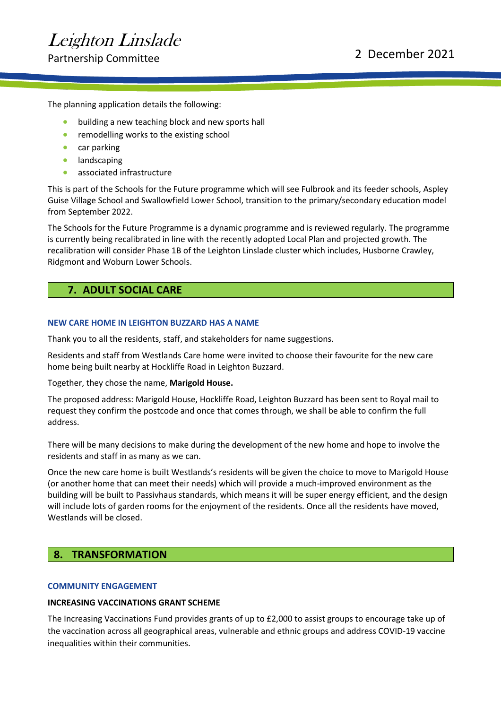The planning application details the following:

- building a new teaching block and new sports hall
- remodelling works to the existing school
- car parking
- landscaping
- associated infrastructure

This is part of the Schools for the Future programme which will see Fulbrook and its feeder schools, Aspley Guise Village School and Swallowfield Lower School, transition to the primary/secondary education model from September 2022.

The Schools for the Future Programme is a dynamic programme and is reviewed regularly. The programme is currently being recalibrated in line with the recently adopted Local Plan and projected growth. The recalibration will consider Phase 1B of the Leighton Linslade cluster which includes, Husborne Crawley, Ridgmont and Woburn Lower Schools.

### <span id="page-12-0"></span>**7. ADULT SOCIAL CARE**

#### **NEW CARE HOME IN LEIGHTON BUZZARD HAS A NAME**

Thank you to all the residents, staff, and stakeholders for name suggestions.

Residents and staff from Westlands Care home were invited to choose their favourite for the new care home being built nearby at Hockliffe Road in Leighton Buzzard.

Together, they chose the name, **Marigold House.**

The proposed address: Marigold House, Hockliffe Road, Leighton Buzzard has been sent to Royal mail to request they confirm the postcode and once that comes through, we shall be able to confirm the full address.

There will be many decisions to make during the development of the new home and hope to involve the residents and staff in as many as we can.

Once the new care home is built Westlands's residents will be given the choice to move to Marigold House (or another home that can meet their needs) which will provide a much-improved environment as the building will be built to Passivhaus standards, which means it will be super energy efficient, and the design will include lots of garden rooms for the enjoyment of the residents. Once all the residents have moved, Westlands will be closed.

### <span id="page-12-1"></span>**8. TRANSFORMATION**

#### **COMMUNITY ENGAGEMENT**

#### **INCREASING VACCINATIONS GRANT SCHEME**

The Increasing Vaccinations Fund provides grants of up to £2,000 to assist groups to encourage take up of the vaccination across all geographical areas, vulnerable and ethnic groups and address COVID-19 vaccine inequalities within their communities.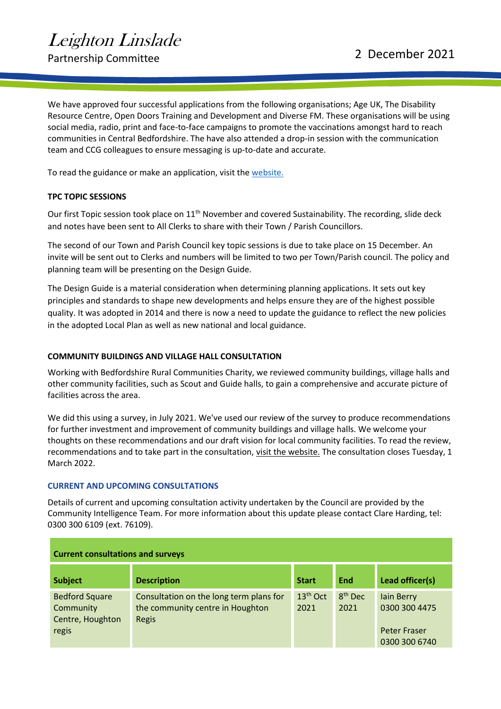Partnership Committee 2021

We have approved four successful applications from the following organisations; Age UK, The Disability Resource Centre, Open Doors Training and Development and Diverse FM. These organisations will be using social media, radio, print and face-to-face campaigns to promote the vaccinations amongst hard to reach communities in Central Bedfordshire. The have also attended a drop-in session with the communication team and CCG colleagues to ensure messaging is up-to-date and accurate.

To read the guidance or make an application, visit the [website.](https://www.centralbedfordshire.gov.uk/info/42/stronger_communities/678/community_grants/5)

#### **TPC TOPIC SESSIONS**

Our first Topic session took place on 11<sup>th</sup> November and covered Sustainability. The recording, slide deck and notes have been sent to All Clerks to share with their Town / Parish Councillors.

The second of our Town and Parish Council key topic sessions is due to take place on 15 December. An invite will be sent out to Clerks and numbers will be limited to two per Town/Parish council. The policy and planning team will be presenting on the Design Guide.

The Design Guide is a material consideration when determining planning applications. It sets out key principles and standards to shape new developments and helps ensure they are of the highest possible quality. It was adopted in 2014 and there is now a need to update the guidance to reflect the new policies in the adopted Local Plan as well as new national and local guidance.

#### **COMMUNITY BUILDINGS AND VILLAGE HALL CONSULTATION**

Working with Bedfordshire Rural Communities Charity, we reviewed community buildings, village halls and other community facilities, such as Scout and Guide halls, to gain a comprehensive and accurate picture of facilities across the area.

We did this using a survey, in July 2021. We've used our review of the survey to produce recommendations for further investment and improvement of community buildings and village halls. We welcome your thoughts on these recommendations and our draft vision for local community facilities. To read the review, recommendations and to take part in the consultation, [visit the website.](https://www.centralbedfordshire.gov.uk/info/38/consultations/1063/community_buildings_and_village_halls_consultation) The consultation closes Tuesday, 1 March 2022.

#### **CURRENT AND UPCOMING CONSULTATIONS**

Details of current and upcoming consultation activity undertaken by the Council are provided by the Community Intelligence Team. For more information about this update please contact Clare Harding, tel: 0300 300 6109 (ext. 76109).

| <b>Current consultations and surveys</b>                        |                                                                                      |                    |                             |                                                                            |
|-----------------------------------------------------------------|--------------------------------------------------------------------------------------|--------------------|-----------------------------|----------------------------------------------------------------------------|
| <b>Subject</b>                                                  | <b>Description</b>                                                                   | <b>Start</b>       | End                         | Lead officer(s)                                                            |
| <b>Bedford Square</b><br>Community<br>Centre, Houghton<br>regis | Consultation on the long term plans for<br>the community centre in Houghton<br>Regis | $13th$ Oct<br>2021 | 8 <sup>th</sup> Dec<br>2021 | <b>lain Berry</b><br>0300 300 4475<br><b>Peter Fraser</b><br>0300 300 6740 |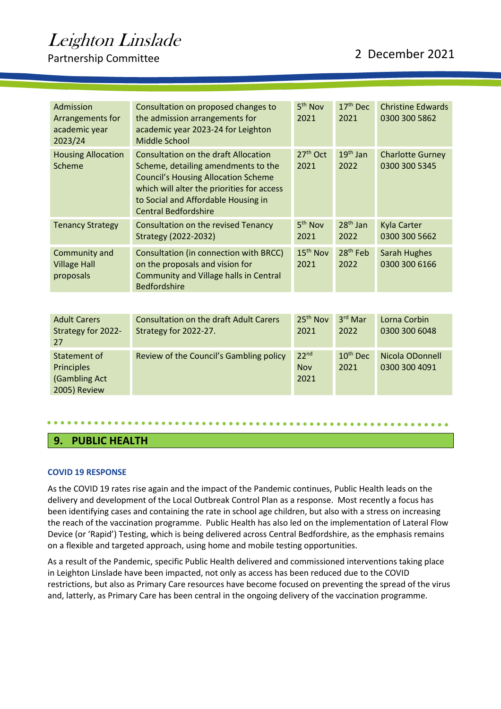Partnership Committee 2021

| Admission<br>Arrangements for<br>academic year<br>2023/24          | Consultation on proposed changes to<br>the admission arrangements for<br>academic year 2023-24 for Leighton<br>Middle School                                                                                                                         | 5 <sup>th</sup> Nov<br>2021     | 17 <sup>th</sup> Dec<br>2021 | <b>Christine Edwards</b><br>0300 300 5862 |
|--------------------------------------------------------------------|------------------------------------------------------------------------------------------------------------------------------------------------------------------------------------------------------------------------------------------------------|---------------------------------|------------------------------|-------------------------------------------|
| <b>Housing Allocation</b><br>Scheme                                | <b>Consultation on the draft Allocation</b><br>Scheme, detailing amendments to the<br><b>Council's Housing Allocation Scheme</b><br>which will alter the priorities for access<br>to Social and Affordable Housing in<br><b>Central Bedfordshire</b> | $27th$ Oct<br>2021              | $19th$ Jan<br>2022           | <b>Charlotte Gurney</b><br>0300 300 5345  |
| <b>Tenancy Strategy</b>                                            | Consultation on the revised Tenancy<br>Strategy (2022-2032)                                                                                                                                                                                          | 5 <sup>th</sup> Nov<br>2021     | $28th$ Jan<br>2022           | <b>Kyla Carter</b><br>0300 300 5662       |
| Community and<br><b>Village Hall</b><br>proposals                  | Consultation (in connection with BRCC)<br>on the proposals and vision for<br>Community and Village halls in Central<br><b>Bedfordshire</b>                                                                                                           | 15 <sup>th</sup> Nov<br>2021    | 28 <sup>th</sup> Feb<br>2022 | <b>Sarah Hughes</b><br>0300 300 6166      |
|                                                                    |                                                                                                                                                                                                                                                      |                                 |                              |                                           |
| <b>Adult Carers</b><br>Strategy for 2022-<br>27                    | <b>Consultation on the draft Adult Carers</b><br>Strategy for 2022-27.                                                                                                                                                                               | 25 <sup>th</sup> Nov<br>2021    | $3rd$ Mar<br>2022            | Lorna Corbin<br>0300 300 6048             |
| Statement of<br><b>Principles</b><br>(Gambling Act<br>2005) Review | Review of the Council's Gambling policy                                                                                                                                                                                                              | 22 <sup>nd</sup><br>Nov<br>2021 | 10 <sup>th</sup> Dec<br>2021 | Nicola ODonnell<br>0300 300 4091          |

### <span id="page-14-0"></span>**9. PUBLIC HEALTH**

#### **COVID 19 RESPONSE**

As the COVID 19 rates rise again and the impact of the Pandemic continues, Public Health leads on the delivery and development of the Local Outbreak Control Plan as a response. Most recently a focus has been identifying cases and containing the rate in school age children, but also with a stress on increasing the reach of the vaccination programme. Public Health has also led on the implementation of Lateral Flow Device (or 'Rapid') Testing, which is being delivered across Central Bedfordshire, as the emphasis remains on a flexible and targeted approach, using home and mobile testing opportunities.

As a result of the Pandemic, specific Public Health delivered and commissioned interventions taking place in Leighton Linslade have been impacted, not only as access has been reduced due to the COVID restrictions, but also as Primary Care resources have become focused on preventing the spread of the virus and, latterly, as Primary Care has been central in the ongoing delivery of the vaccination programme.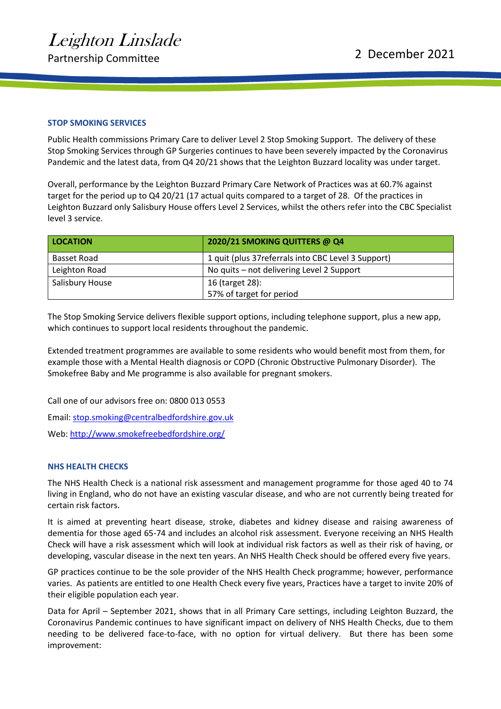#### **STOP SMOKING SERVICES**

Public Health commissions Primary Care to deliver Level 2 Stop Smoking Support. The delivery of these Stop Smoking Services through GP Surgeries continues to have been severely impacted by the Coronavirus Pandemic and the latest data, from Q4 20/21 shows that the Leighton Buzzard locality was under target.

Overall, performance by the Leighton Buzzard Primary Care Network of Practices was at 60.7% against target for the period up to Q4 20/21 (17 actual quits compared to a target of 28. Of the practices in Leighton Buzzard only Salisbury House offers Level 2 Services, whilst the others refer into the CBC Specialist level 3 service.

| <b>LOCATION</b> | 2020/21 SMOKING QUITTERS @ Q4                       |
|-----------------|-----------------------------------------------------|
| Basset Road     | 1 quit (plus 37 referrals into CBC Level 3 Support) |
| Leighton Road   | No quits – not delivering Level 2 Support           |
| Salisbury House | 16 (target 28):                                     |
|                 | 57% of target for period                            |

The Stop Smoking Service delivers flexible support options, including telephone support, plus a new app, which continues to support local residents throughout the pandemic.

Extended treatment programmes are available to some residents who would benefit most from them, for example those with a Mental Health diagnosis or COPD (Chronic Obstructive Pulmonary Disorder). The Smokefree Baby and Me programme is also available for pregnant smokers.

Call one of our advisors free on: 0800 013 0553

Email: [stop.smoking@centralbedfordshire.gov.uk](mailto:stop.smoking@centralbedfordshire.gov.uk)

Web:<http://www.smokefreebedfordshire.org/>

#### **NHS HEALTH CHECKS**

The NHS Health Check is a national risk assessment and management programme for those aged 40 to 74 living in England, who do not have an existing vascular disease, and who are not currently being treated for certain risk factors.

It is aimed at preventing heart disease, stroke, diabetes and kidney disease and raising awareness of dementia for those aged 65-74 and includes an alcohol risk assessment. Everyone receiving an NHS Health Check will have a risk assessment which will look at individual risk factors as well as their risk of having, or developing, vascular disease in the next ten years. An NHS Health Check should be offered every five years.

GP practices continue to be the sole provider of the NHS Health Check programme; however, performance varies. As patients are entitled to one Health Check every five years, Practices have a target to invite 20% of their eligible population each year.

Data for April – September 2021, shows that in all Primary Care settings, including Leighton Buzzard, the Coronavirus Pandemic continues to have significant impact on delivery of NHS Health Checks, due to them needing to be delivered face-to-face, with no option for virtual delivery. But there has been some improvement: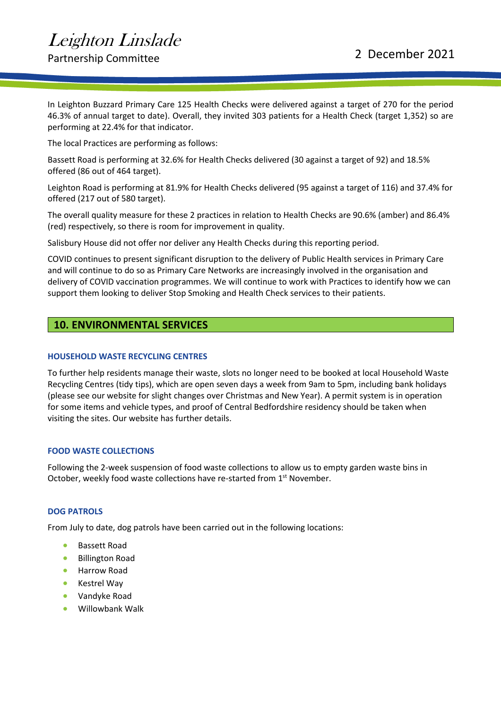Partnership Committee 2021

In Leighton Buzzard Primary Care 125 Health Checks were delivered against a target of 270 for the period 46.3% of annual target to date). Overall, they invited 303 patients for a Health Check (target 1,352) so are performing at 22.4% for that indicator.

The local Practices are performing as follows:

Bassett Road is performing at 32.6% for Health Checks delivered (30 against a target of 92) and 18.5% offered (86 out of 464 target).

Leighton Road is performing at 81.9% for Health Checks delivered (95 against a target of 116) and 37.4% for offered (217 out of 580 target).

The overall quality measure for these 2 practices in relation to Health Checks are 90.6% (amber) and 86.4% (red) respectively, so there is room for improvement in quality.

Salisbury House did not offer nor deliver any Health Checks during this reporting period.

COVID continues to present significant disruption to the delivery of Public Health services in Primary Care and will continue to do so as Primary Care Networks are increasingly involved in the organisation and delivery of COVID vaccination programmes. We will continue to work with Practices to identify how we can support them looking to deliver Stop Smoking and Health Check services to their patients.

### <span id="page-16-0"></span>**10. ENVIRONMENTAL SERVICES**

#### **HOUSEHOLD WASTE RECYCLING CENTRES**

To further help residents manage their waste, slots no longer need to be booked at local Household Waste Recycling Centres (tidy tips), which are open seven days a week from 9am to 5pm, including bank holidays (please see our website for slight changes over Christmas and New Year). A permit system is in operation for some items and vehicle types, and proof of Central Bedfordshire residency should be taken when visiting the sites. Our website has further details.

#### **FOOD WASTE COLLECTIONS**

Following the 2-week suspension of food waste collections to allow us to empty garden waste bins in October, weekly food waste collections have re-started from 1<sup>st</sup> November.

#### **DOG PATROLS**

From July to date, dog patrols have been carried out in the following locations:

- Bassett Road
- Billington Road
- Harrow Road
- Kestrel Way
- Vandyke Road
- Willowbank Walk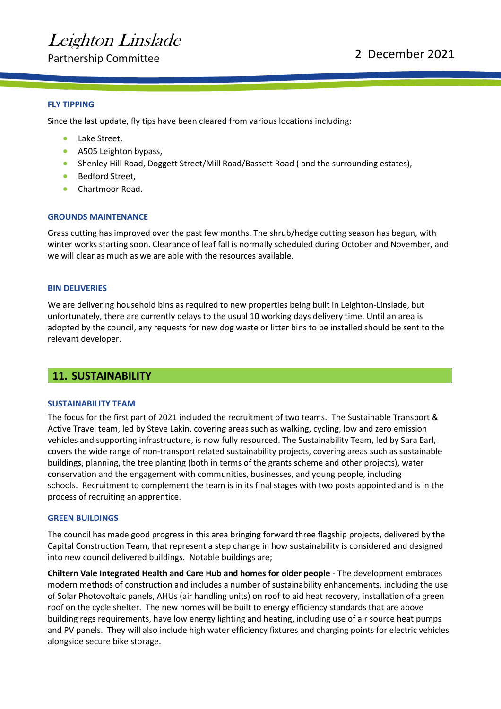Partnership Committee 2021

#### **FLY TIPPING**

Since the last update, fly tips have been cleared from various locations including:

- Lake Street,
- A505 Leighton bypass,
- Shenley Hill Road, Doggett Street/Mill Road/Bassett Road (and the surrounding estates),
- Bedford Street,
- Chartmoor Road.

#### **GROUNDS MAINTENANCE**

Grass cutting has improved over the past few months. The shrub/hedge cutting season has begun, with winter works starting soon. Clearance of leaf fall is normally scheduled during October and November, and we will clear as much as we are able with the resources available.

#### **BIN DELIVERIES**

We are delivering household bins as required to new properties being built in Leighton-Linslade, but unfortunately, there are currently delays to the usual 10 working days delivery time. Until an area is adopted by the council, any requests for new dog waste or litter bins to be installed should be sent to the relevant developer.

#### <span id="page-17-0"></span>**11. SUSTAINABILITY**

#### **SUSTAINABILITY TEAM**

The focus for the first part of 2021 included the recruitment of two teams. The Sustainable Transport & Active Travel team, led by Steve Lakin, covering areas such as walking, cycling, low and zero emission vehicles and supporting infrastructure, is now fully resourced. The Sustainability Team, led by Sara Earl, covers the wide range of non-transport related sustainability projects, covering areas such as sustainable buildings, planning, the tree planting (both in terms of the grants scheme and other projects), water conservation and the engagement with communities, businesses, and young people, including schools. Recruitment to complement the team is in its final stages with two posts appointed and is in the process of recruiting an apprentice.

#### **GREEN BUILDINGS**

The council has made good progress in this area bringing forward three flagship projects, delivered by the Capital Construction Team, that represent a step change in how sustainability is considered and designed into new council delivered buildings. Notable buildings are;

**Chiltern Vale Integrated Health and Care Hub and homes for older people** - The development embraces modern methods of construction and includes a number of sustainability enhancements, including the use of Solar Photovoltaic panels, AHUs (air handling units) on roof to aid heat recovery, installation of a green roof on the cycle shelter. The new homes will be built to energy efficiency standards that are above building regs requirements, have low energy lighting and heating, including use of air source heat pumps and PV panels. They will also include high water efficiency fixtures and charging points for electric vehicles alongside secure bike storage.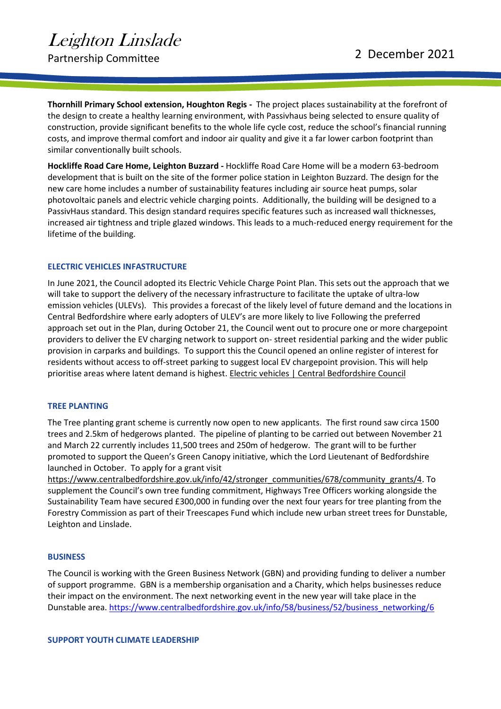**Thornhill Primary School extension, Houghton Regis -** The project places sustainability at the forefront of the design to create a healthy learning environment, with Passivhaus being selected to ensure quality of construction, provide significant benefits to the whole life cycle cost, reduce the school's financial running costs, and improve thermal comfort and indoor air quality and give it a far lower carbon footprint than similar conventionally built schools.

**Hockliffe Road Care Home, Leighton Buzzard -** Hockliffe Road Care Home will be a modern 63-bedroom development that is built on the site of the former police station in Leighton Buzzard. The design for the new care home includes a number of sustainability features including air source heat pumps, solar photovoltaic panels and electric vehicle charging points. Additionally, the building will be designed to a PassivHaus standard. This design standard requires specific features such as increased wall thicknesses, increased air tightness and triple glazed windows. This leads to a much-reduced energy requirement for the lifetime of the building.

#### **ELECTRIC VEHICLES INFASTRUCTURE**

In June 2021, the Council adopted its Electric Vehicle Charge Point Plan. This sets out the approach that we will take to support the delivery of the necessary infrastructure to facilitate the uptake of ultra-low emission vehicles (ULEVs). This provides a forecast of the likely level of future demand and the locations in Central Bedfordshire where early adopters of ULEV's are more likely to live Following the preferred approach set out in the Plan, during October 21, the Council went out to procure one or more chargepoint providers to deliver the EV charging network to support on- street residential parking and the wider public provision in carparks and buildings. To support this the Council opened an online register of interest for residents without access to off-street parking to suggest local EV chargepoint provision. This will help prioritise areas where latent demand is highest[. Electric vehicles | Central Bedfordshire Council](https://www.centralbedfordshire.gov.uk/info/55/transport_roads_and_parking/580/electric_vehicles)

#### **TREE PLANTING**

The Tree planting grant scheme is currently now open to new applicants. The first round saw circa 1500 trees and 2.5km of hedgerows planted. The pipeline of planting to be carried out between November 21 and March 22 currently includes 11,500 trees and 250m of hedgerow. The grant will to be further promoted to support the Queen's Green Canopy initiative, which the Lord Lieutenant of Bedfordshire launched in October. To apply for a grant visit

[https://www.centralbedfordshire.gov.uk/info/42/stronger\\_communities/678/community\\_grants/4.](https://www.centralbedfordshire.gov.uk/info/42/stronger_communities/678/community_grants/4) To supplement the Council's own tree funding commitment, Highways Tree Officers working alongside the Sustainability Team have secured £300,000 in funding over the next four years for tree planting from the Forestry Commission as part of their Treescapes Fund which include new urban street trees for Dunstable, Leighton and Linslade.

#### **BUSINESS**

The Council is working with the Green Business Network (GBN) and providing funding to deliver a number of support programme. GBN is a membership organisation and a Charity, which helps businesses reduce their impact on the environment. The next networking event in the new year will take place in the Dunstable area[. https://www.centralbedfordshire.gov.uk/info/58/business/52/business\\_networking/6](https://www.centralbedfordshire.gov.uk/info/58/business/52/business_networking/6)

#### **SUPPORT YOUTH CLIMATE LEADERSHIP**